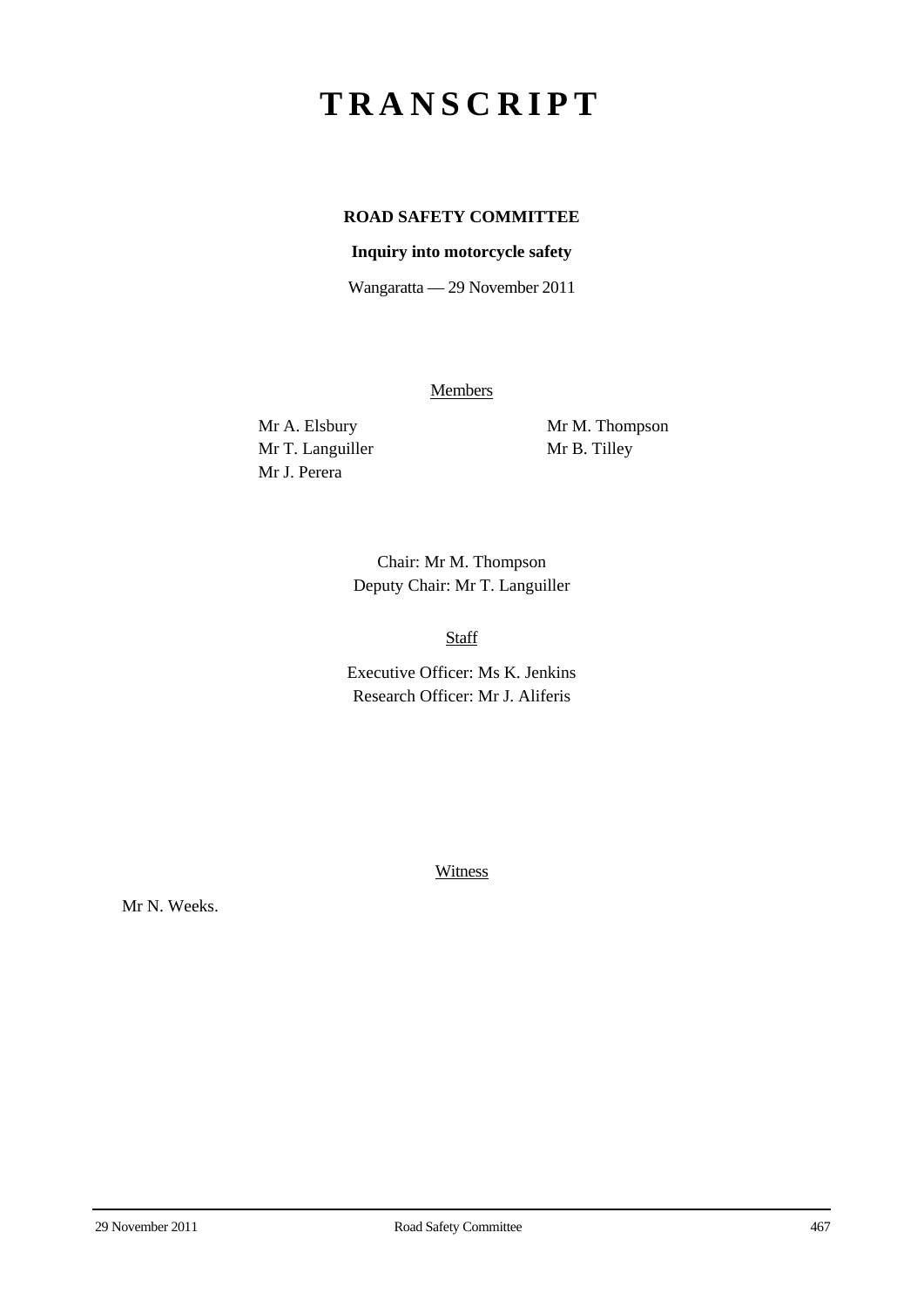# **TRANSCRIPT**

## **ROAD SAFETY COMMITTEE**

### **Inquiry into motorcycle safety**

Wangaratta — 29 November 2011

**Members** 

Mr T. Languiller Mr B. Tilley Mr J. Perera

Mr A. Elsbury Mr M. Thompson

Chair: Mr M. Thompson Deputy Chair: Mr T. Languiller

Staff

Executive Officer: Ms K. Jenkins Research Officer: Mr J. Aliferis

**Witness** 

Mr N. Weeks.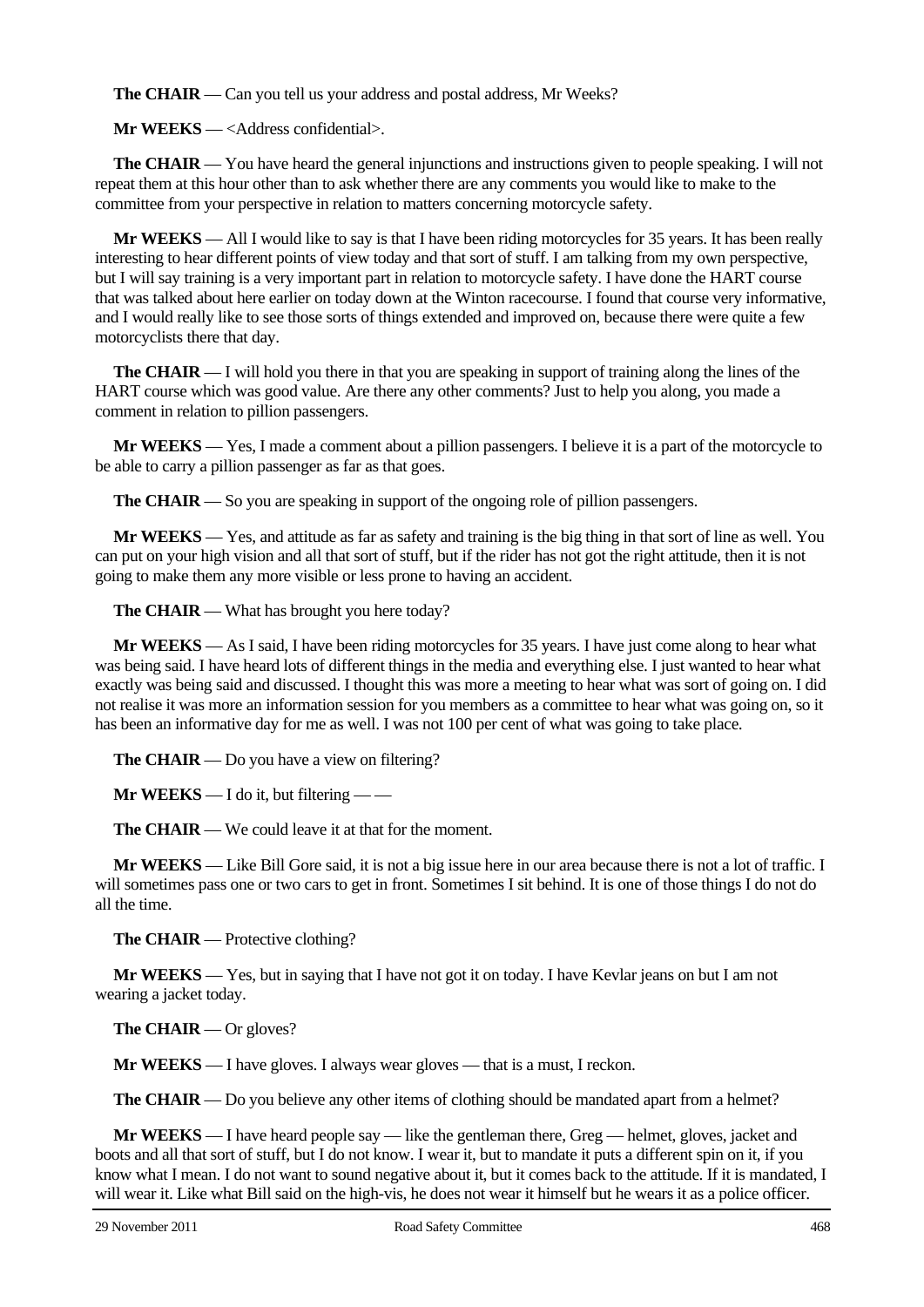**The CHAIR** — Can you tell us your address and postal address, Mr Weeks?

**Mr WEEKS** — <Address confidential>.

**The CHAIR** — You have heard the general injunctions and instructions given to people speaking. I will not repeat them at this hour other than to ask whether there are any comments you would like to make to the committee from your perspective in relation to matters concerning motorcycle safety.

**Mr WEEKS** — All I would like to say is that I have been riding motorcycles for 35 years. It has been really interesting to hear different points of view today and that sort of stuff. I am talking from my own perspective, but I will say training is a very important part in relation to motorcycle safety. I have done the HART course that was talked about here earlier on today down at the Winton racecourse. I found that course very informative, and I would really like to see those sorts of things extended and improved on, because there were quite a few motorcyclists there that day.

**The CHAIR** — I will hold you there in that you are speaking in support of training along the lines of the HART course which was good value. Are there any other comments? Just to help you along, you made a comment in relation to pillion passengers.

**Mr WEEKS** — Yes, I made a comment about a pillion passengers. I believe it is a part of the motorcycle to be able to carry a pillion passenger as far as that goes.

**The CHAIR** — So you are speaking in support of the ongoing role of pillion passengers.

**Mr WEEKS** — Yes, and attitude as far as safety and training is the big thing in that sort of line as well. You can put on your high vision and all that sort of stuff, but if the rider has not got the right attitude, then it is not going to make them any more visible or less prone to having an accident.

**The CHAIR** — What has brought you here today?

**Mr WEEKS** — As I said, I have been riding motorcycles for 35 years. I have just come along to hear what was being said. I have heard lots of different things in the media and everything else. I just wanted to hear what exactly was being said and discussed. I thought this was more a meeting to hear what was sort of going on. I did not realise it was more an information session for you members as a committee to hear what was going on, so it has been an informative day for me as well. I was not 100 per cent of what was going to take place.

**The CHAIR** — Do you have a view on filtering?

**Mr WEEKS** — I do it, but filtering — —

**The CHAIR** — We could leave it at that for the moment.

**Mr WEEKS** — Like Bill Gore said, it is not a big issue here in our area because there is not a lot of traffic. I will sometimes pass one or two cars to get in front. Sometimes I sit behind. It is one of those things I do not do all the time.

**The CHAIR** — Protective clothing?

**Mr WEEKS** — Yes, but in saying that I have not got it on today. I have Kevlar jeans on but I am not wearing a jacket today.

**The CHAIR** — Or gloves?

**Mr WEEKS** — I have gloves. I always wear gloves — that is a must, I reckon.

**The CHAIR** — Do you believe any other items of clothing should be mandated apart from a helmet?

**Mr WEEKS** — I have heard people say — like the gentleman there, Greg — helmet, gloves, jacket and boots and all that sort of stuff, but I do not know. I wear it, but to mandate it puts a different spin on it, if you know what I mean. I do not want to sound negative about it, but it comes back to the attitude. If it is mandated, I will wear it. Like what Bill said on the high-vis, he does not wear it himself but he wears it as a police officer.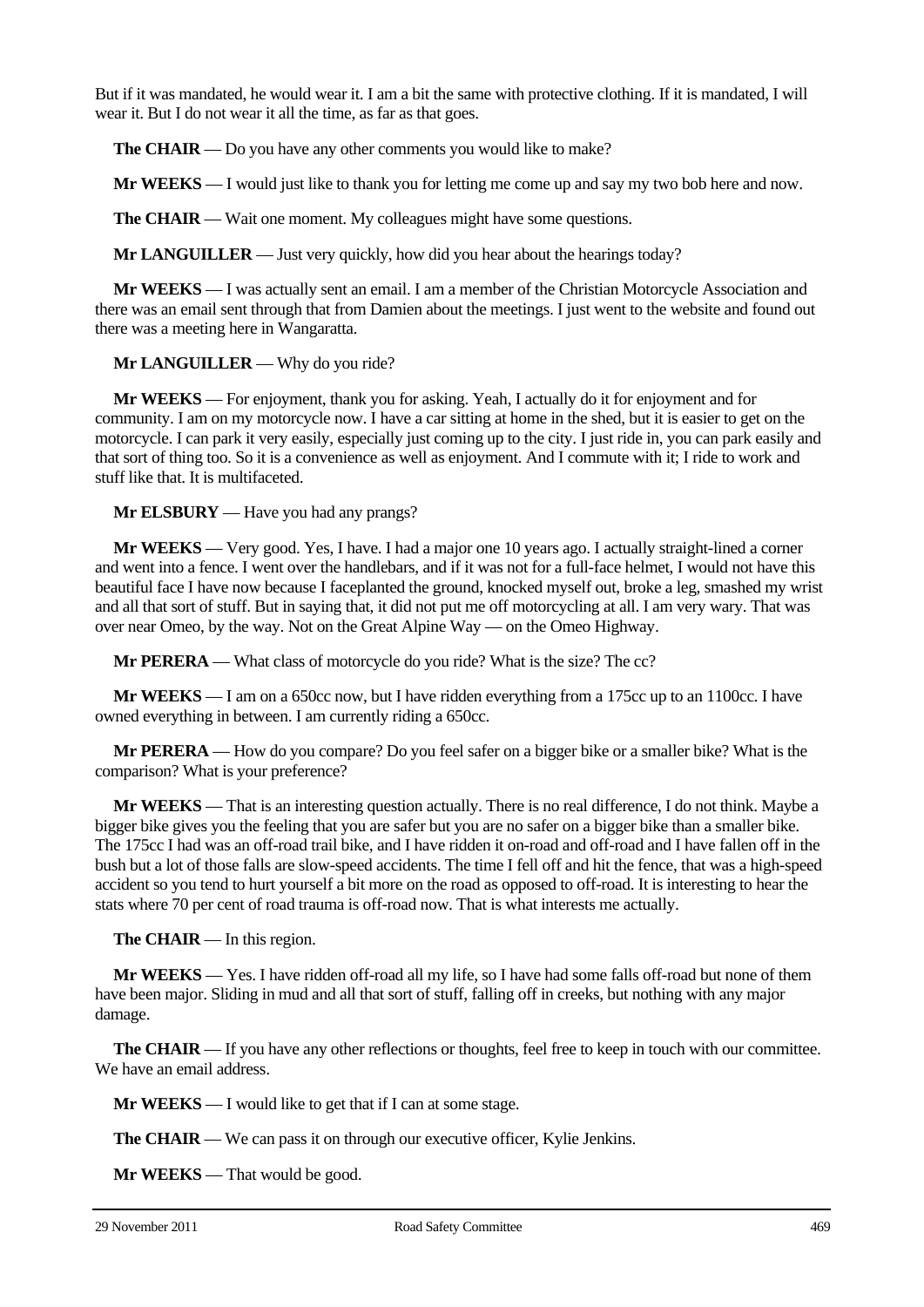But if it was mandated, he would wear it. I am a bit the same with protective clothing. If it is mandated, I will wear it. But I do not wear it all the time, as far as that goes.

**The CHAIR** — Do you have any other comments you would like to make?

**Mr WEEKS** — I would just like to thank you for letting me come up and say my two bob here and now.

**The CHAIR** — Wait one moment. My colleagues might have some questions.

**Mr LANGUILLER** — Just very quickly, how did you hear about the hearings today?

**Mr WEEKS** — I was actually sent an email. I am a member of the Christian Motorcycle Association and there was an email sent through that from Damien about the meetings. I just went to the website and found out there was a meeting here in Wangaratta.

**Mr LANGUILLER** — Why do you ride?

**Mr WEEKS** — For enjoyment, thank you for asking. Yeah, I actually do it for enjoyment and for community. I am on my motorcycle now. I have a car sitting at home in the shed, but it is easier to get on the motorcycle. I can park it very easily, especially just coming up to the city. I just ride in, you can park easily and that sort of thing too. So it is a convenience as well as enjoyment. And I commute with it; I ride to work and stuff like that. It is multifaceted.

**Mr ELSBURY** — Have you had any prangs?

**Mr WEEKS** — Very good. Yes, I have. I had a major one 10 years ago. I actually straight-lined a corner and went into a fence. I went over the handlebars, and if it was not for a full-face helmet, I would not have this beautiful face I have now because I faceplanted the ground, knocked myself out, broke a leg, smashed my wrist and all that sort of stuff. But in saying that, it did not put me off motorcycling at all. I am very wary. That was over near Omeo, by the way. Not on the Great Alpine Way — on the Omeo Highway.

**Mr PERERA** — What class of motorcycle do you ride? What is the size? The cc?

**Mr WEEKS** — I am on a 650cc now, but I have ridden everything from a 175cc up to an 1100cc. I have owned everything in between. I am currently riding a 650cc.

**Mr PERERA** — How do you compare? Do you feel safer on a bigger bike or a smaller bike? What is the comparison? What is your preference?

**Mr WEEKS** — That is an interesting question actually. There is no real difference, I do not think. Maybe a bigger bike gives you the feeling that you are safer but you are no safer on a bigger bike than a smaller bike. The 175cc I had was an off-road trail bike, and I have ridden it on-road and off-road and I have fallen off in the bush but a lot of those falls are slow-speed accidents. The time I fell off and hit the fence, that was a high-speed accident so you tend to hurt yourself a bit more on the road as opposed to off-road. It is interesting to hear the stats where 70 per cent of road trauma is off-road now. That is what interests me actually.

**The CHAIR** — In this region.

**Mr WEEKS** — Yes. I have ridden off-road all my life, so I have had some falls off-road but none of them have been major. Sliding in mud and all that sort of stuff, falling off in creeks, but nothing with any major damage.

**The CHAIR** — If you have any other reflections or thoughts, feel free to keep in touch with our committee. We have an email address.

**Mr WEEKS** — I would like to get that if I can at some stage.

**The CHAIR** — We can pass it on through our executive officer, Kylie Jenkins.

**Mr WEEKS** — That would be good.